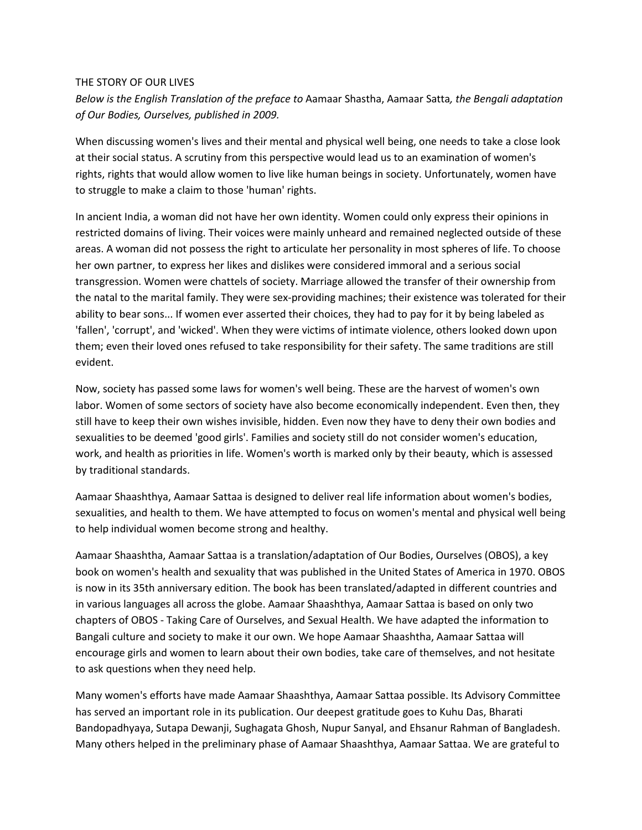## THE STORY OF OUR LIVES

*Below is the English Translation of the preface to* Aamaar Shastha, Aamaar Satta*, the Bengali adaptation of Our Bodies, Ourselves, published in 2009.*

When discussing women's lives and their mental and physical well being, one needs to take a close look at their social status. A scrutiny from this perspective would lead us to an examination of women's rights, rights that would allow women to live like human beings in society. Unfortunately, women have to struggle to make a claim to those 'human' rights.

In ancient India, a woman did not have her own identity. Women could only express their opinions in restricted domains of living. Their voices were mainly unheard and remained neglected outside of these areas. A woman did not possess the right to articulate her personality in most spheres of life. To choose her own partner, to express her likes and dislikes were considered immoral and a serious social transgression. Women were chattels of society. Marriage allowed the transfer of their ownership from the natal to the marital family. They were sex-providing machines; their existence was tolerated for their ability to bear sons... If women ever asserted their choices, they had to pay for it by being labeled as 'fallen', 'corrupt', and 'wicked'. When they were victims of intimate violence, others looked down upon them; even their loved ones refused to take responsibility for their safety. The same traditions are still evident.

Now, society has passed some laws for women's well being. These are the harvest of women's own labor. Women of some sectors of society have also become economically independent. Even then, they still have to keep their own wishes invisible, hidden. Even now they have to deny their own bodies and sexualities to be deemed 'good girls'. Families and society still do not consider women's education, work, and health as priorities in life. Women's worth is marked only by their beauty, which is assessed by traditional standards.

Aamaar Shaashthya, Aamaar Sattaa is designed to deliver real life information about women's bodies, sexualities, and health to them. We have attempted to focus on women's mental and physical well being to help individual women become strong and healthy.

Aamaar Shaashtha, Aamaar Sattaa is a translation/adaptation of Our Bodies, Ourselves (OBOS), a key book on women's health and sexuality that was published in the United States of America in 1970. OBOS is now in its 35th anniversary edition. The book has been translated/adapted in different countries and in various languages all across the globe. Aamaar Shaashthya, Aamaar Sattaa is based on only two chapters of OBOS - Taking Care of Ourselves, and Sexual Health. We have adapted the information to Bangali culture and society to make it our own. We hope Aamaar Shaashtha, Aamaar Sattaa will encourage girls and women to learn about their own bodies, take care of themselves, and not hesitate to ask questions when they need help.

Many women's efforts have made Aamaar Shaashthya, Aamaar Sattaa possible. Its Advisory Committee has served an important role in its publication. Our deepest gratitude goes to Kuhu Das, Bharati Bandopadhyaya, Sutapa Dewanji, Sughagata Ghosh, Nupur Sanyal, and Ehsanur Rahman of Bangladesh. Many others helped in the preliminary phase of Aamaar Shaashthya, Aamaar Sattaa. We are grateful to